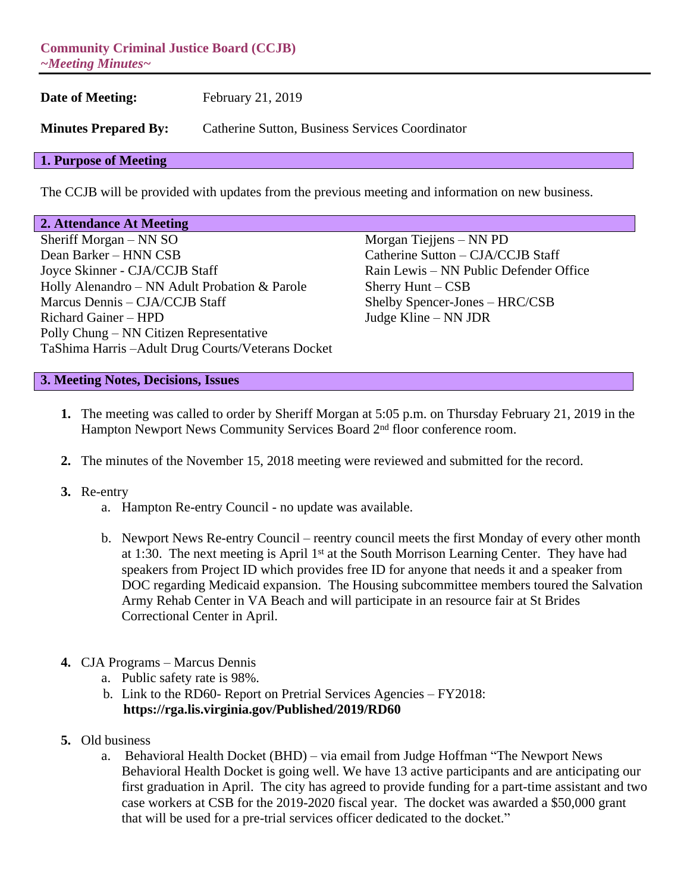**Community Criminal Justice Board (CCJB)** *~Meeting Minutes~*

**Date of Meeting:** February 21, 2019 **Minutes Prepared By:** Catherine Sutton, Business Services Coordinator **1. Purpose of Meeting**

## The CCJB will be provided with updates from the previous meeting and information on new business.

#### **2. Attendance At Meeting**

Sheriff Morgan – NN SO Morgan Tiejjens – NN PD Dean Barker – HNN CSB Catherine Sutton – CJA/CCJB Staff Joyce Skinner - CJA/CCJB Staff Rain Lewis – NN Public Defender Office Holly Alenandro – NN Adult Probation & Parole Sherry Hunt – CSB<br>Marcus Dennis – CJA/CCJB Staff Shelby Spencer-Jon Richard Gainer – HPD Judge Kline – NN JDR Polly Chung – NN Citizen Representative TaShima Harris –Adult Drug Courts/Veterans Docket

Shelby Spencer-Jones – HRC/CSB

## **3. Meeting Notes, Decisions, Issues**

- **1.** The meeting was called to order by Sheriff Morgan at 5:05 p.m. on Thursday February 21, 2019 in the Hampton Newport News Community Services Board 2<sup>nd</sup> floor conference room.
- **2.** The minutes of the November 15, 2018 meeting were reviewed and submitted for the record.

#### **3.** Re-entry

- a. Hampton Re-entry Council no update was available.
- b. Newport News Re-entry Council reentry council meets the first Monday of every other month at 1:30. The next meeting is April 1st at the South Morrison Learning Center. They have had speakers from Project ID which provides free ID for anyone that needs it and a speaker from DOC regarding Medicaid expansion. The Housing subcommittee members toured the Salvation Army Rehab Center in VA Beach and will participate in an resource fair at St Brides Correctional Center in April.
- **4.** CJA Programs Marcus Dennis
	- a. Public safety rate is 98%.
	- b. Link to the RD60- Report on Pretrial Services Agencies FY2018: **<https://rga.lis.virginia.gov/Published/2019/RD60>**
- **5.** Old business
	- a. Behavioral Health Docket (BHD) via email from Judge Hoffman "The Newport News Behavioral Health Docket is going well. We have 13 active participants and are anticipating our first graduation in April. The city has agreed to provide funding for a part-time assistant and two case workers at CSB for the 2019-2020 fiscal year. The docket was awarded a \$50,000 grant that will be used for a pre-trial services officer dedicated to the docket."